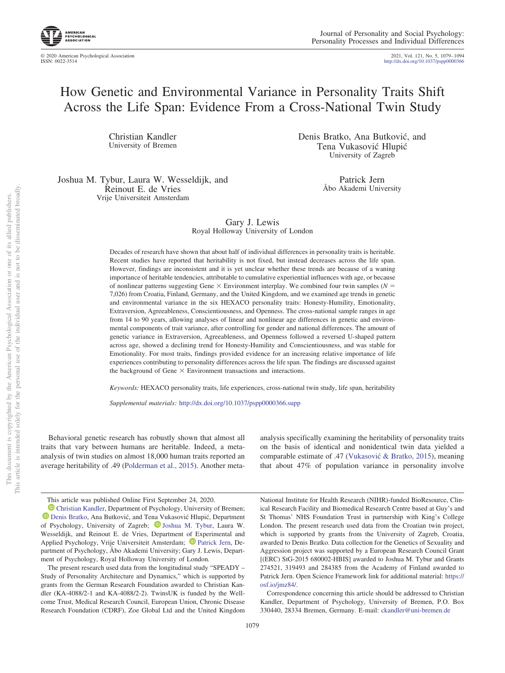http://dx.doi.org/10.1037/pspp0000366 2021, Vol. 121, No. 5, 1079–1094

# How Genetic and Environmental Variance in Personality Traits Shift Across the Life Span: Evidence From a Cross-National Twin Study

Christian Kandler University of Bremen Denis Bratko, Ana Butković, and Tena Vukasovic´ Hlupic´ University of Zagreb

Joshua M. Tybur, Laura W. Wesseldijk, and Reinout E. de Vries Vrije Universiteit Amsterdam

Patrick Jern Åbo Akademi University

## Gary J. Lewis Royal Holloway University of London

Decades of research have shown that about half of individual differences in personality traits is heritable. Recent studies have reported that heritability is not fixed, but instead decreases across the life span. However, findings are inconsistent and it is yet unclear whether these trends are because of a waning importance of heritable tendencies, attributable to cumulative experiential influences with age, or because of nonlinear patterns suggesting Gene  $\times$  Environment interplay. We combined four twin samples ( $N =$ 7,026) from Croatia, Finland, Germany, and the United Kingdom, and we examined age trends in genetic and environmental variance in the six HEXACO personality traits: Honesty-Humility, Emotionality, Extraversion, Agreeableness, Conscientiousness, and Openness. The cross-national sample ranges in age from 14 to 90 years, allowing analyses of linear and nonlinear age differences in genetic and environmental components of trait variance, after controlling for gender and national differences. The amount of genetic variance in Extraversion, Agreeableness, and Openness followed a reversed U-shaped pattern across age, showed a declining trend for Honesty-Humility and Conscientiousness, and was stable for Emotionality. For most traits, findings provided evidence for an increasing relative importance of life experiences contributing to personality differences across the life span. The findings are discussed against the background of Gene  $\times$  Environment transactions and interactions.

*Keywords:* HEXACO personality traits, life experiences, cross-national twin study, life span, heritability

*Supplemental materials:* http://dx.doi.org/10.1037/pspp0000366.supp

Behavioral genetic research has robustly shown that almost all traits that vary between humans are heritable. Indeed, a metaanalysis of twin studies on almost 18,000 human traits reported an average heritability of .49 (Polderman et al., 2015). Another metaanalysis specifically examining the heritability of personality traits on the basis of identical and nonidentical twin data yielded a comparable estimate of .47 (Vukasović & Bratko, 2015), meaning that about 47% of population variance in personality involve

This article was published Online First September 24, 2020.

**D** Christian Kandler, Department of Psychology, University of Bremen; Denis Bratko, Ana Butković, and Tena Vukasović Hlupić, Department of Psychology, University of Zagreb; **D** Joshua M. Tybur, Laura W. Wesseldijk, and Reinout E. de Vries, Department of Experimental and Applied Psychology, Vrije Universiteit Amsterdam; <sup>D</sup> Patrick Jern, Department of Psychology, Åbo Akademi University; Gary J. Lewis, Department of Psychology, Royal Holloway University of London.

The present research used data from the longitudinal study "SPEADY – Study of Personality Architecture and Dynamics," which is supported by grants from the German Research Foundation awarded to Christian Kandler (KA-4088/2-1 and KA-4088/2-2). TwinsUK is funded by the Wellcome Trust, Medical Research Council, European Union, Chronic Disease Research Foundation (CDRF), Zoe Global Ltd and the United Kingdom

National Institute for Health Research (NIHR)-funded BioResource, Clinical Research Facility and Biomedical Research Centre based at Guy's and St Thomas' NHS Foundation Trust in partnership with King's College London. The present research used data from the Croatian twin project, which is supported by grants from the University of Zagreb, Croatia, awarded to Denis Bratko. Data collection for the Genetics of Sexuality and Aggression project was supported by a European Research Council Grant [(ERC) StG-2015 680002-HBIS] awarded to Joshua M. Tybur and Grants 274521, 319493 and 284385 from the Academy of Finland awarded to Patrick Jern. Open Science Framework link for additional material: https:// osf.io/jmz84/.

Correspondence concerning this article should be addressed to Christian Kandler, Department of Psychology, University of Bremen, P.O. Box 330440, 28334 Bremen, Germany. E-mail: ckandler@uni-bremen.de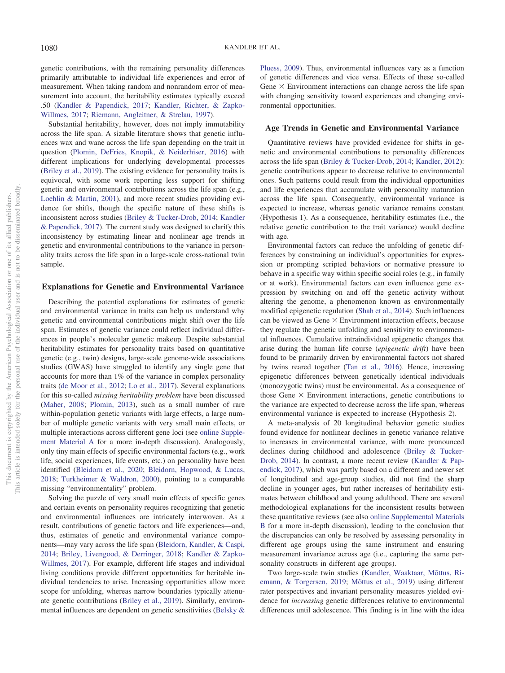genetic contributions, with the remaining personality differences primarily attributable to individual life experiences and error of measurement. When taking random and nonrandom error of measurement into account, the heritability estimates typically exceed .50 (Kandler & Papendick, 2017; Kandler, Richter, & Zapko-Willmes, 2017; Riemann, Angleitner, & Strelau, 1997).

Substantial heritability, however, does not imply immutability across the life span. A sizable literature shows that genetic influences wax and wane across the life span depending on the trait in question (Plomin, DeFries, Knopik, & Neiderhiser, 2016) with different implications for underlying developmental processes (Briley et al., 2019). The existing evidence for personality traits is equivocal, with some work reporting less support for shifting genetic and environmental contributions across the life span (e.g., Loehlin & Martin, 2001), and more recent studies providing evidence for shifts, though the specific nature of these shifts is inconsistent across studies (Briley & Tucker-Drob, 2014; Kandler & Papendick, 2017). The current study was designed to clarify this inconsistency by estimating linear and nonlinear age trends in genetic and environmental contributions to the variance in personality traits across the life span in a large-scale cross-national twin sample.

## **Explanations for Genetic and Environmental Variance**

Describing the potential explanations for estimates of genetic and environmental variance in traits can help us understand why genetic and environmental contributions might shift over the life span. Estimates of genetic variance could reflect individual differences in people's molecular genetic makeup. Despite substantial heritability estimates for personality traits based on quantitative genetic (e.g., twin) designs, large-scale genome-wide associations studies (GWAS) have struggled to identify any single gene that accounts for more than 1% of the variance in complex personality traits (de Moor et al., 2012; Lo et al., 2017). Several explanations for this so-called *missing heritability problem* have been discussed (Maher, 2008; Plomin, 2013), such as a small number of rare within-population genetic variants with large effects, a large number of multiple genetic variants with very small main effects, or multiple interactions across different gene loci (see online Supplement Material A for a more in-depth discussion). Analogously, only tiny main effects of specific environmental factors (e.g., work life, social experiences, life events, etc.) on personality have been identified (Bleidorn et al., 2020; Bleidorn, Hopwood, & Lucas, 2018; Turkheimer & Waldron, 2000), pointing to a comparable missing "environmentality" problem.

Solving the puzzle of very small main effects of specific genes and certain events on personality requires recognizing that genetic and environmental influences are intricately interwoven. As a result, contributions of genetic factors and life experiences—and, thus, estimates of genetic and environmental variance components—may vary across the life span (Bleidorn, Kandler, & Caspi, 2014; Briley, Livengood, & Derringer, 2018; Kandler & Zapko-Willmes, 2017). For example, different life stages and individual living conditions provide different opportunities for heritable individual tendencies to arise. Increasing opportunities allow more scope for unfolding, whereas narrow boundaries typically attenuate genetic contributions (Briley et al., 2019). Similarly, environmental influences are dependent on genetic sensitivities (Belsky &

Pluess, 2009). Thus, environmental influences vary as a function of genetic differences and vice versa. Effects of these so-called Gene  $\times$  Environment interactions can change across the life span with changing sensitivity toward experiences and changing environmental opportunities.

#### **Age Trends in Genetic and Environmental Variance**

Quantitative reviews have provided evidence for shifts in genetic and environmental contributions to personality differences across the life span (Briley & Tucker-Drob, 2014; Kandler, 2012): genetic contributions appear to decrease relative to environmental ones. Such patterns could result from the individual opportunities and life experiences that accumulate with personality maturation across the life span. Consequently, environmental variance is expected to increase, whereas genetic variance remains constant (Hypothesis 1). As a consequence, heritability estimates (i.e., the relative genetic contribution to the trait variance) would decline with age.

Environmental factors can reduce the unfolding of genetic differences by constraining an individual's opportunities for expression or prompting scripted behaviors or normative pressure to behave in a specific way within specific social roles (e.g., in family or at work). Environmental factors can even influence gene expression by switching on and off the genetic activity without altering the genome, a phenomenon known as environmentally modified epigenetic regulation (Shah et al., 2014). Such influences can be viewed as Gene  $\times$  Environment interaction effects, because they regulate the genetic unfolding and sensitivity to environmental influences. Cumulative intraindividual epigenetic changes that arise during the human life course (*epigenetic drift*) have been found to be primarily driven by environmental factors not shared by twins reared together (Tan et al., 2016). Hence, increasing epigenetic differences between genetically identical individuals (monozygotic twins) must be environmental. As a consequence of those Gene  $\times$  Environment interactions, genetic contributions to the variance are expected to decrease across the life span, whereas environmental variance is expected to increase (Hypothesis 2).

A meta-analysis of 20 longitudinal behavior genetic studies found evidence for nonlinear declines in genetic variance relative to increases in environmental variance, with more pronounced declines during childhood and adolescence (Briley & Tucker-Drob, 2014). In contrast, a more recent review (Kandler & Papendick, 2017), which was partly based on a different and newer set of longitudinal and age-group studies, did not find the sharp decline in younger ages, but rather increases of heritability estimates between childhood and young adulthood. There are several methodological explanations for the inconsistent results between these quantitative reviews (see also online Supplemental Materials B for a more in-depth discussion), leading to the conclusion that the discrepancies can only be resolved by assessing personality in different age groups using the same instrument and ensuring measurement invariance across age (i.e., capturing the same personality constructs in different age groups).

Two large-scale twin studies (Kandler, Waaktaar, Mõttus, Riemann, & Torgersen, 2019; Mõttus et al., 2019) using different rater perspectives and invariant personality measures yielded evidence for *increasing* genetic differences relative to environmental differences until adolescence. This finding is in line with the idea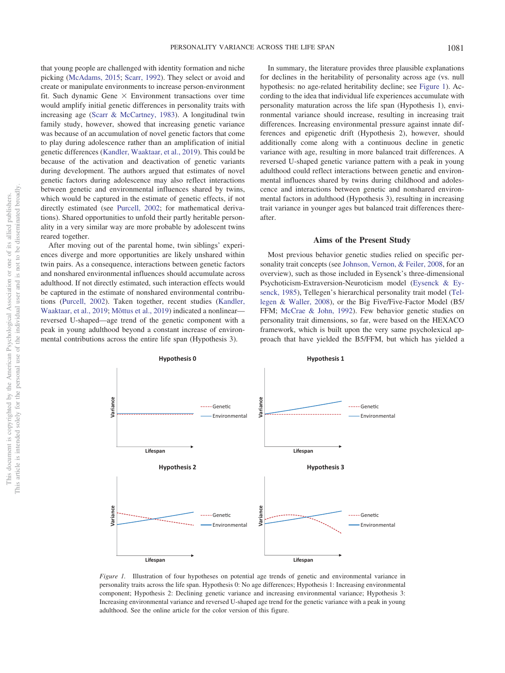that young people are challenged with identity formation and niche picking (McAdams, 2015; Scarr, 1992). They select or avoid and create or manipulate environments to increase person-environment fit. Such dynamic Gene  $\times$  Environment transactions over time would amplify initial genetic differences in personality traits with increasing age (Scarr & McCartney, 1983). A longitudinal twin family study, however, showed that increasing genetic variance was because of an accumulation of novel genetic factors that come to play during adolescence rather than an amplification of initial genetic differences (Kandler, Waaktaar, et al., 2019). This could be because of the activation and deactivation of genetic variants during development. The authors argued that estimates of novel genetic factors during adolescence may also reflect interactions between genetic and environmental influences shared by twins, which would be captured in the estimate of genetic effects, if not directly estimated (see Purcell, 2002; for mathematical derivations). Shared opportunities to unfold their partly heritable personality in a very similar way are more probable by adolescent twins reared together.

After moving out of the parental home, twin siblings' experiences diverge and more opportunities are likely unshared within twin pairs. As a consequence, interactions between genetic factors and nonshared environmental influences should accumulate across adulthood. If not directly estimated, such interaction effects would be captured in the estimate of nonshared environmental contributions (Purcell, 2002). Taken together, recent studies (Kandler, Waaktaar, et al., 2019; Mõttus et al., 2019) indicated a nonlinear reversed U-shaped—age trend of the genetic component with a peak in young adulthood beyond a constant increase of environmental contributions across the entire life span (Hypothesis 3).

In summary, the literature provides three plausible explanations for declines in the heritability of personality across age (vs. null hypothesis: no age-related heritability decline; see Figure 1). According to the idea that individual life experiences accumulate with personality maturation across the life span (Hypothesis 1), environmental variance should increase, resulting in increasing trait differences. Increasing environmental pressure against innate differences and epigenetic drift (Hypothesis 2), however, should additionally come along with a continuous decline in genetic variance with age, resulting in more balanced trait differences. A reversed U-shaped genetic variance pattern with a peak in young adulthood could reflect interactions between genetic and environmental influences shared by twins during childhood and adolescence and interactions between genetic and nonshared environmental factors in adulthood (Hypothesis 3), resulting in increasing trait variance in younger ages but balanced trait differences thereafter.

#### **Aims of the Present Study**

Most previous behavior genetic studies relied on specific personality trait concepts (see Johnson, Vernon, & Feiler, 2008, for an overview), such as those included in Eysenck's three-dimensional Psychoticism-Extraversion-Neuroticism model (Eysenck & Eysenck, 1985), Tellegen's hierarchical personality trait model (Tellegen & Waller, 2008), or the Big Five/Five-Factor Model (B5/ FFM; McCrae & John, 1992). Few behavior genetic studies on personality trait dimensions, so far, were based on the HEXACO framework, which is built upon the very same psycholexical approach that have yielded the B5/FFM, but which has yielded a



*Figure 1.* Illustration of four hypotheses on potential age trends of genetic and environmental variance in personality traits across the life span. Hypothesis 0: No age differences; Hypothesis 1: Increasing environmental component; Hypothesis 2: Declining genetic variance and increasing environmental variance; Hypothesis 3: Increasing environmental variance and reversed U-shaped age trend for the genetic variance with a peak in young adulthood. See the online article for the color version of this figure.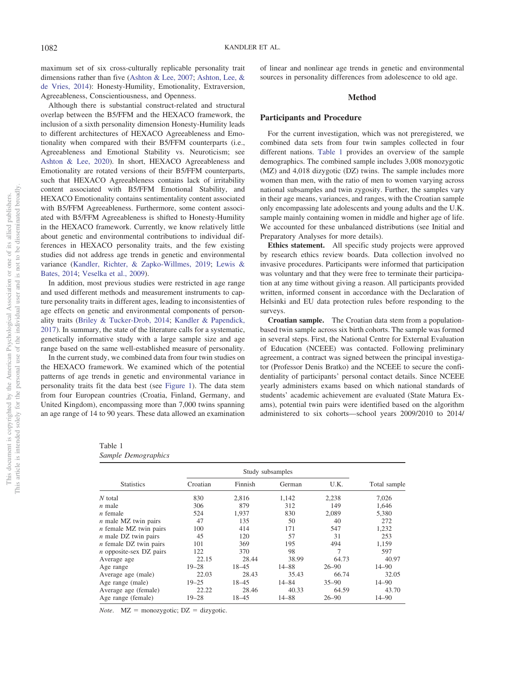maximum set of six cross-culturally replicable personality trait dimensions rather than five (Ashton & Lee, 2007; Ashton, Lee, & de Vries, 2014): Honesty-Humility, Emotionality, Extraversion, Agreeableness, Conscientiousness, and Openness.

Although there is substantial construct-related and structural overlap between the B5/FFM and the HEXACO framework, the inclusion of a sixth personality dimension Honesty-Humility leads to different architectures of HEXACO Agreeableness and Emotionality when compared with their B5/FFM counterparts (i.e., Agreeableness and Emotional Stability vs. Neuroticism; see Ashton & Lee, 2020). In short, HEXACO Agreeableness and Emotionality are rotated versions of their B5/FFM counterparts, such that HEXACO Agreeableness contains lack of irritability content associated with B5/FFM Emotional Stability, and HEXACO Emotionality contains sentimentality content associated with B5/FFM Agreeableness. Furthermore, some content associated with B5/FFM Agreeableness is shifted to Honesty-Humility in the HEXACO framework. Currently, we know relatively little about genetic and environmental contributions to individual differences in HEXACO personality traits, and the few existing studies did not address age trends in genetic and environmental variance (Kandler, Richter, & Zapko-Willmes, 2019; Lewis & Bates, 2014; Veselka et al., 2009).

In addition, most previous studies were restricted in age range and used different methods and measurement instruments to capture personality traits in different ages, leading to inconsistenties of age effects on genetic and environmental components of personality traits (Briley & Tucker-Drob, 2014; Kandler & Papendick, 2017). In summary, the state of the literature calls for a systematic, genetically informative study with a large sample size and age range based on the same well-established measure of personality.

In the current study, we combined data from four twin studies on the HEXACO framework. We examined which of the potential patterns of age trends in genetic and environmental variance in personality traits fit the data best (see Figure 1). The data stem from four European countries (Croatia, Finland, Germany, and United Kingdom), encompassing more than 7,000 twins spanning an age range of 14 to 90 years. These data allowed an examination of linear and nonlinear age trends in genetic and environmental sources in personality differences from adolescence to old age.

## **Method**

## **Participants and Procedure**

For the current investigation, which was not preregistered, we combined data sets from four twin samples collected in four different nations. Table 1 provides an overview of the sample demographics. The combined sample includes 3,008 monozygotic (MZ) and 4,018 dizygotic (DZ) twins. The sample includes more women than men, with the ratio of men to women varying across national subsamples and twin zygosity. Further, the samples vary in their age means, variances, and ranges, with the Croatian sample only encompassing late adolescents and young adults and the U.K. sample mainly containing women in middle and higher age of life. We accounted for these unbalanced distributions (see Initial and Preparatory Analyses for more details).

**Ethics statement.** All specific study projects were approved by research ethics review boards. Data collection involved no invasive procedures. Participants were informed that participation was voluntary and that they were free to terminate their participation at any time without giving a reason. All participants provided written, informed consent in accordance with the Declaration of Helsinki and EU data protection rules before responding to the surveys.

**Croatian sample.** The Croatian data stem from a populationbased twin sample across six birth cohorts. The sample was formed in several steps. First, the National Centre for External Evaluation of Education (NCEEE) was contacted. Following preliminary agreement, a contract was signed between the principal investigator (Professor Denis Bratko) and the NCEEE to secure the confidentiality of participants' personal contact details. Since NCEEE yearly administers exams based on which national standards of students' academic achievement are evaluated (State Matura Exams), potential twin pairs were identified based on the algorithm administered to six cohorts—school years 2009/2010 to 2014/

Table 1

| Croatian  | Finnish   | German    | U.K.             | Total sample |
|-----------|-----------|-----------|------------------|--------------|
| 830       | 2.816     | 1,142     | 2,238            | 7,026        |
| 306       | 879       | 312       | 149              | 1,646        |
| 524       | 1,937     | 830       | 2,089            | 5,380        |
| 47        | 135       | 50        | 40               | 272          |
| 100       | 414       | 171       | 547              | 1,232        |
| 45        | 120       | 57        | 31               | 253          |
| 101       | 369       | 195       | 494              | 1,159        |
| 122       | 370       | 98        | 7                | 597          |
| 22.15     | 28.44     | 38.99     | 64.73            | 40.97        |
| $19 - 28$ | $18 - 45$ | $14 - 88$ | $26 - 90$        | $14 - 90$    |
| 22.03     | 28.43     | 35.43     | 66.74            | 32.05        |
| $19 - 25$ | $18 - 45$ | $14 - 84$ | $35 - 90$        | $14 - 90$    |
| 22.22     | 28.46     | 40.33     | 64.59            | 43.70        |
| $19 - 28$ | $18 - 45$ | 14-88     | $26 - 90$        | $14 - 90$    |
|           |           |           | Study subsamples |              |

*Note*.  $MZ = monozygotic$ ;  $DZ = dizygotic$ .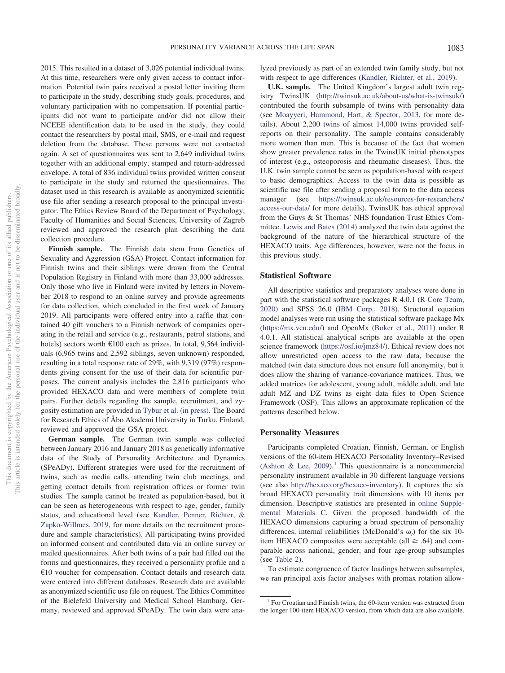ipants did not want to participate and/or did not allow their NCEEE identification data to be used in the study, they could

contact the researchers by postal mail, SMS, or e-mail and request deletion from the database. These persons were not contacted again. A set of questionnaires was sent to 2,649 individual twins together with an additional empty, stamped and return-addressed envelope. A total of 836 individual twins provided written consent to participate in the study and returned the questionnaires. The dataset used in this research is available as anonymized scientific use file after sending a research proposal to the principal investigator. The Ethics Review Board of the Department of Psychology, Faculty of Humanities and Social Sciences, University of Zagreb reviewed and approved the research plan describing the data collection procedure.

2015. This resulted in a dataset of 3,026 potential individual twins. At this time, researchers were only given access to contact information. Potential twin pairs received a postal letter inviting them to participate in the study, describing study goals, procedures, and voluntary participation with no compensation. If potential partic-

**Finnish sample.** The Finnish data stem from Genetics of Sexuality and Aggression (GSA) Project. Contact information for Finnish twins and their siblings were drawn from the Central Population Registry in Finland with more than 33,000 addresses. Only those who live in Finland were invited by letters in November 2018 to respond to an online survey and provide agreements for data collection, which concluded in the first week of January 2019. All participants were offered entry into a raffle that contained 40 gift vouchers to a Finnish network of companies operating in the retail and service (e.g., restaurants, petrol stations, and hotels) sectors worth €100 each as prizes. In total, 9,564 individuals (6,965 twins and 2,592 siblings, seven unknown) responded, resulting in a total response rate of 29%, with 9,319 (97%) respondents giving consent for the use of their data for scientific purposes. The current analysis includes the 2,816 participants who provided HEXACO data and were members of complete twin pairs. Further details regarding the sample, recruitment, and zygosity estimation are provided in Tybur et al. (in press). The Board for Research Ethics of Åbo Akademi University in Turku, Finland, reviewed and approved the GSA project.

**German sample.** The German twin sample was collected between January 2016 and January 2018 as genetically informative data of the Study of Personality Architecture and Dynamics (SPeADy). Different strategies were used for the recruitment of twins, such as media calls, attending twin club meetings, and getting contact details from registration offices or former twin studies. The sample cannot be treated as population-based, but it can be seen as heterogeneous with respect to age, gender, family status, and educational level (see Kandler, Penner, Richter, & Zapko-Willmes, 2019, for more details on the recruitment procedure and sample characteristics). All participating twins provided an informed consent and contributed data via an online survey or mailed questionnaires. After both twins of a pair had filled out the forms and questionnaires, they received a personality profile and a €10 voucher for compensation. Contact details and research data were entered into different databases. Research data are available as anonymized scientific use file on request. The Ethics Committee of the Bielefeld University and Medical School Hamburg, Germany, reviewed and approved SPeADy. The twin data were analyzed previously as part of an extended twin family study, but not with respect to age differences (Kandler, Richter, et al., 2019).

**U.K. sample.** The United Kingdom's largest adult twin registry TwinsUK (http://twinsuk.ac.uk/about-us/what-is-twinsuk/) contributed the fourth subsample of twins with personality data (see Moayyeri, Hammond, Hart, & Spector, 2013, for more details). About 2,200 twins of almost 14,000 twins provided selfreports on their personality. The sample contains considerably more women than men. This is because of the fact that women show greater prevalence rates in the TwinsUK initial phenotypes of interest (e.g., osteoporosis and rheumatic diseases). Thus, the U.K. twin sample cannot be seen as population-based with respect to basic demographics. Access to the twin data is possible as scientific use file after sending a proposal form to the data access manager (see https://twinsuk.ac.uk/resources-for-researchers/ access-our-data/ for more details). TwinsUK has ethical approval from the Guys & St Thomas' NHS foundation Trust Ethics Committee. Lewis and Bates (2014) analyzed the twin data against the background of the nature of the hierarchical structure of the HEXACO traits. Age differences, however, were not the focus in this previous study.

## **Statistical Software**

All descriptive statistics and preparatory analyses were done in part with the statistical software packages R 4.0.1 (R Core Team, 2020) and SPSS 26.0 (IBM Corp., 2018). Structural equation model analyses were run using the statistical software package Mx (https://mx.vcu.edu/) and OpenMx (Boker et al., 2011) under R 4.0.1. All statistical analytical scripts are available at the open science framework (https://osf.io/jmz84/). Ethical review does not allow unrestricted open access to the raw data, because the matched twin data structure does not ensure full anonymity, but it does allow the sharing of variance-covariance matrices. Thus, we added matrices for adolescent, young adult, middle adult, and late adult MZ and DZ twins as eight data files to Open Science Framework (OSF). This allows an approximate replication of the patterns described below.

#### **Personality Measures**

Participants completed Croatian, Finnish, German, or English versions of the 60-item HEXACO Personality Inventory–Revised (Ashton & Lee, 2009).<sup>1</sup> This questionnaire is a noncommercial personality instrument available in 30 different language versions (see also http://hexaco.org/hexaco-inventory). It captures the six broad HEXACO personality trait dimensions with 10 items per dimension. Descriptive statistics are presented in online Supplemental Materials C. Given the proposed bandwidth of the HEXACO dimensions capturing a broad spectrum of personality differences, internal reliabilities (McDonald's  $\omega_t$ ) for the six 10item HEXACO composites were acceptable (all  $\geq$  .64) and comparable across national, gender, and four age-group subsamples (see Table 2).

To estimate congruence of factor loadings between subsamples, we ran principal axis factor analyses with promax rotation allow-

<sup>&</sup>lt;sup>1</sup> For Croatian and Finnish twins, the 60-item version was extracted from the longer 100-item HEXACO version, from which data are also available.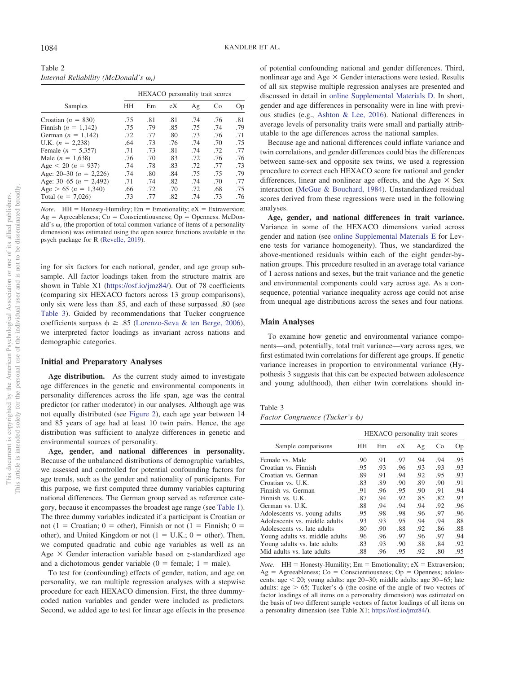Table 2 *Internal Reliability (McDonald's <sup>t</sup> )*

|                              | HEXACO personality trait scores |     |     |     |     |     |  |  |  |  |
|------------------------------|---------------------------------|-----|-----|-----|-----|-----|--|--|--|--|
| Samples                      | HН                              | Em  | eX  | Ag  | Co  | Op  |  |  |  |  |
| Croatian $(n = 830)$         | .75                             | .81 | .81 | .74 | .76 | .81 |  |  |  |  |
| Finnish $(n = 1,142)$        | .75                             | .79 | .85 | .75 | .74 | .79 |  |  |  |  |
| German $(n = 1,142)$         | .72                             | .77 | .80 | .73 | .76 | .71 |  |  |  |  |
| U.K. $(n = 2,238)$           | .64                             | .73 | .76 | .74 | .70 | .75 |  |  |  |  |
| Female $(n = 5,357)$         | .71                             | .73 | .81 | .74 | .72 | .77 |  |  |  |  |
| Male $(n = 1,638)$           | .76                             | .70 | .83 | .72 | .76 | .76 |  |  |  |  |
| Age $\lt 20$ (n = 937)       | .74                             | .78 | .83 | .72 | .77 | .73 |  |  |  |  |
| Age: $20-30$ ( $n = 2,226$ ) | .74                             | .80 | .84 | .75 | .75 | .79 |  |  |  |  |
| Age: 30–65 $(n = 2,492)$     | .71                             | .74 | .82 | .74 | .70 | .77 |  |  |  |  |
| Age $> 65 (n = 1,340)$       | .66                             | .72 | .70 | .72 | .68 | .75 |  |  |  |  |
| Total $(n = 7,026)$          | .73                             | .77 | .82 | .74 | .73 | .76 |  |  |  |  |

*Note*. HH = Honesty-Humility;  $Em = Emotionality$ ;  $eX = Extraversion$ ;  $Ag = Agreeableness$ ;  $Co = Conscientiousness$ ;  $Op = Opennes. McDon$ ald's  $\omega$ , (the proportion of total common variance of items of a personality dimension) was estimated using the open source functions available in the psych package for R (Revelle, 2019).

ing for six factors for each national, gender, and age group subsample. All factor loadings taken from the structure matrix are shown in Table X1 (https://osf.io/jmz84/). Out of 78 coefficients (comparing six HEXACO factors across 13 group comparisons), only six were less than .85, and each of these surpassed .80 (see Table 3). Guided by recommendations that Tucker congruence coefficients surpass  $\phi \geq .85$  (Lorenzo-Seva & ten Berge, 2006), we interpreted factor loadings as invariant across nations and demographic categories.

## **Initial and Preparatory Analyses**

**Age distribution.** As the current study aimed to investigate age differences in the genetic and environmental components in personality differences across the life span, age was the central predictor (or rather moderator) in our analyses. Although age was not equally distributed (see Figure 2), each age year between 14 and 85 years of age had at least 10 twin pairs. Hence, the age distribution was sufficient to analyze differences in genetic and environmental sources of personality.

**Age, gender, and national differences in personality.** Because of the unbalanced distributions of demographic variables, we assessed and controlled for potential confounding factors for age trends, such as the gender and nationality of participants. For this purpose, we first computed three dummy variables capturing national differences. The German group served as reference category, because it encompasses the broadest age range (see Table 1). The three dummy variables indicated if a participant is Croatian or not (1 = Croatian; 0 = other), Finnish or not (1 = Finnish; 0 = other), and United Kingdom or not  $(1 = U.K.; 0 = other)$ . Then, we computed quadratic and cubic age variables as well as an Age  $\times$  Gender interaction variable based on *z*-standardized age and a dichotomous gender variable ( $0 =$  female;  $1 =$  male).

To test for (confounding) effects of gender, nation, and age on personality, we ran multiple regression analyses with a stepwise procedure for each HEXACO dimension. First, the three dummycoded nation variables and gender were included as predictors. Second, we added age to test for linear age effects in the presence of potential confounding national and gender differences. Third, nonlinear age and Age  $\times$  Gender interactions were tested. Results of all six stepwise multiple regression analyses are presented and discussed in detail in online Supplemental Materials D. In short, gender and age differences in personality were in line with previous studies (e.g., Ashton & Lee, 2016). National differences in average levels of personality traits were small and partially attributable to the age differences across the national samples.

Because age and national differences could inflate variance and twin correlations, and gender differences could bias the differences between same-sex and opposite sex twins, we used a regression procedure to correct each HEXACO score for national and gender differences, linear and nonlinear age effects, and the Age  $\times$  Sex interaction (McGue & Bouchard, 1984). Unstandardized residual scores derived from these regressions were used in the following analyses.

**Age, gender, and national differences in trait variance.** Variance in some of the HEXACO dimensions varied across gender and nation (see online Supplemental Materials E for Levene tests for variance homogeneity). Thus, we standardized the above-mentioned residuals within each of the eight gender-bynation groups. This procedure resulted in an average total variance of 1 across nations and sexes, but the trait variance and the genetic and environmental components could vary across age. As a consequence, potential variance inequality across age could not arise from unequal age distributions across the sexes and four nations.

#### **Main Analyses**

To examine how genetic and environmental variance components—and, potentially, total trait variance—vary across ages, we first estimated twin correlations for different age groups. If genetic variance increases in proportion to environmental variance (Hypothesis 3 suggests that this can be expected between adolescence and young adulthood), then either twin correlations should in-

## Table 3

*Factor Congruence (Tucker's φ)* 

|                                | HEXACO personality trait scores |     |     |     |     |     |  |  |
|--------------------------------|---------------------------------|-----|-----|-----|-----|-----|--|--|
| Sample comparisons             | HН                              | Em  | eX  | Ag  | Co  | Op  |  |  |
| Female vs. Male                | .90                             | .91 | .97 | .94 | .94 | .95 |  |  |
| Croatian vs. Finnish           | .95                             | .93 | .96 | .93 | .93 | .93 |  |  |
| Croatian vs. German            | .89                             | .91 | .94 | .92 | .95 | .93 |  |  |
| Croatian vs. U.K.              | .83                             | .89 | .90 | .89 | .90 | .91 |  |  |
| Finnish vs. German             | .91                             | .96 | .95 | .90 | .91 | .94 |  |  |
| Finnish vs. U.K.               | .87                             | .94 | .92 | .85 | .82 | .93 |  |  |
| German vs. U.K.                | .88                             | .94 | .94 | .94 | .92 | .96 |  |  |
| Adolescents vs. young adults   | .95                             | .98 | .98 | .96 | .97 | .96 |  |  |
| Adolescents vs. middle adults  | .93                             | .93 | .95 | .94 | .94 | .88 |  |  |
| Adolescents vs. late adults    | .80                             | .90 | .88 | .92 | .86 | .88 |  |  |
| Young adults vs. middle adults | .96                             | .96 | .97 | .96 | .97 | .94 |  |  |
| Young adults vs. late adults   | .83                             | .93 | .90 | .88 | .84 | .92 |  |  |
| Mid adults vs. late adults     | .88                             | .96 | .95 | .92 | .80 | .95 |  |  |

*Note*. HH = Honesty-Humility;  $Em = Emotionality$ ;  $eX = Extraversion$ ;  $Ag = Agreeableness; Co = Conscientiousness; Op = Opennes; adoles$ cents: age < 20; young adults: age 20-30; middle adults: age 30-65; late adults: age  $> 65$ ; Tucker's  $\phi$  (the cosine of the angle of two vectors of factor loadings of all items on a personality dimension) was estimated on the basis of two different sample vectors of factor loadings of all items on a personality dimension (see Table X1; https://osf.io/jmz84/).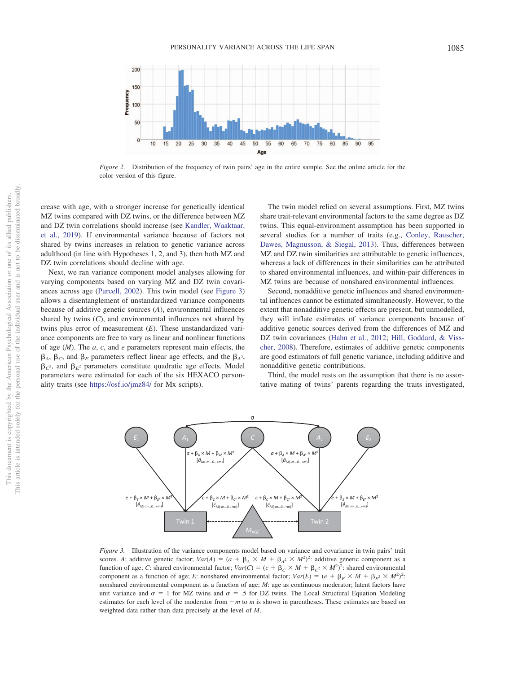

*Figure 2.* Distribution of the frequency of twin pairs' age in the entire sample. See the online article for the color version of this figure.

crease with age, with a stronger increase for genetically identical MZ twins compared with DZ twins, or the difference between MZ and DZ twin correlations should increase (see Kandler, Waaktaar, et al., 2019). If environmental variance because of factors not shared by twins increases in relation to genetic variance across adulthood (in line with Hypotheses 1, 2, and 3), then both MZ and DZ twin correlations should decline with age.

Next, we ran variance component model analyses allowing for varying components based on varying MZ and DZ twin covariances across age (Purcell, 2002). This twin model (see Figure 3) allows a disentanglement of unstandardized variance components because of additive genetic sources (*A*), environmental influences shared by twins (*C*), and environmental influences not shared by twins plus error of measurement (*E*). These unstandardized variance components are free to vary as linear and nonlinear functions of age (*M*). The *a*, *c*, and *e* parameters represent main effects, the  $\beta_A$ ,  $\beta_C$ , and  $\beta_E$  parameters reflect linear age effects, and the  $\beta_A$ <sup>2</sup>,  $\beta_c$ <sup>2</sup>, and  $\beta_E$ <sup>2</sup> parameters constitute quadratic age effects. Model parameters were estimated for each of the six HEXACO personality traits (see https://osf.io/jmz84/ for Mx scripts).

The twin model relied on several assumptions. First, MZ twins share trait-relevant environmental factors to the same degree as DZ twins. This equal-environment assumption has been supported in several studies for a number of traits (e.g., Conley, Rauscher, Dawes, Magnusson, & Siegal, 2013). Thus, differences between MZ and DZ twin similarities are attributable to genetic influences, whereas a lack of differences in their similarities can be attributed to shared environmental influences, and within-pair differences in MZ twins are because of nonshared environmental influences.

Second, nonadditive genetic influences and shared environmental influences cannot be estimated simultaneously. However, to the extent that nonadditive genetic effects are present, but unmodelled, they will inflate estimates of variance components because of additive genetic sources derived from the differences of MZ and DZ twin covariances (Hahn et al., 2012; Hill, Goddard, & Visscher, 2008). Therefore, estimates of additive genetic components are good estimators of full genetic variance, including additive and nonadditive genetic contributions.

Third, the model rests on the assumption that there is no assortative mating of twins' parents regarding the traits investigated,



*Figure 3.* Illustration of the variance components model based on variance and covariance in twin pairs' trait scores. *A*: additive genetic factor;  $Var(A) = (a + \beta_A \times M + \beta_{A^2} \times M^2)^2$ : additive genetic component as a function of age; *C*: shared environmental factor;  $Var(C) = (c + \beta_C \times M + \beta_C^2 \times M^2)^2$ : shared environmental component as a function of age; *E*: nonshared environmental factor;  $Var(E) = (e + \beta_E \times M + \beta_E^2 \times M^2)^2$ : nonshared environmental component as a function of age; *M*: age as continuous moderator; latent factors have unit variance and  $\sigma = 1$  for MZ twins and  $\sigma = .5$  for DZ twins. The Local Structural Equation Modeling estimates for each level of the moderator from  $-m$  to m is shown in parentheses. These estimates are based on weighted data rather than data precisely at the level of *M*.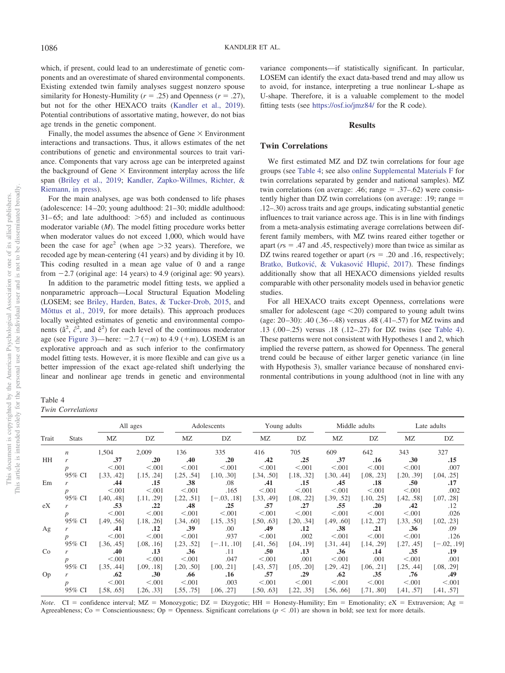which, if present, could lead to an underestimate of genetic components and an overestimate of shared environmental components. Existing extended twin family analyses suggest nonzero spouse similarity for Honesty-Humility ( $r = .25$ ) and Openness ( $r = .27$ ), but not for the other HEXACO traits (Kandler et al., 2019). Potential contributions of assortative mating, however, do not bias age trends in the genetic component.

Finally, the model assumes the absence of Gene  $\times$  Environment interactions and transactions. Thus, it allows estimates of the net contributions of genetic and environmental sources to trait variance. Components that vary across age can be interpreted against the background of Gene  $\times$  Environment interplay across the life span (Briley et al., 2019; Kandler, Zapko-Willmes, Richter, & Riemann, in press).

For the main analyses, age was both condensed to life phases (adolescence: 14–20; young adulthood: 21–30; middle adulthood:  $31-65$ ; and late adulthood:  $>65$ ) and included as continuous moderator variable (*M*). The model fitting procedure works better when moderator values do not exceed 1,000, which would have been the case for  $age^2$  (when age  $>32$  years). Therefore, we recoded age by mean-centering (41 years) and by dividing it by 10. This coding resulted in a mean age value of 0 and a range from  $-2.7$  (original age: 14 years) to 4.9 (original age: 90 years).

In addition to the parametric model fitting tests, we applied a nonparametric approach—Local Structural Equation Modeling (LOSEM; see Briley, Harden, Bates, & Tucker-Drob, 2015, and Mõttus et al., 2019, for more details). This approach produces locally weighted estimates of genetic and environmental components  $(\hat{a}^2, \hat{c}^2, \text{ and } \hat{e}^2)$  for each level of the continuous moderator age (see Figure 3)—here:  $-2.7$  ( $-m$ ) to 4.9 ( $+m$ ). LOSEM is an explorative approach and as such inferior to the confirmatory model fitting tests. However, it is more flexible and can give us a better impression of the exact age-related shift underlying the linear and nonlinear age trends in genetic and environmental

Table 4 *Twin Correlations*

variance components—if statistically significant. In particular, LOSEM can identify the exact data-based trend and may allow us to avoid, for instance, interpreting a true nonlinear L-shape as U-shape. Therefore, it is a valuable complement to the model fitting tests (see https://osf.io/jmz84/ for the R code).

#### **Results**

## **Twin Correlations**

We first estimated MZ and DZ twin correlations for four age groups (see Table 4; see also online Supplemental Materials F for twin correlations separated by gender and national samples). MZ twin correlations (on average: .46; range  $= .37-.62$ ) were consistently higher than DZ twin correlations (on average: .19; range .12–.30) across traits and age groups, indicating substantial genetic influences to trait variance across age. This is in line with findings from a meta-analysis estimating average correlations between different family members, with MZ twins reared either together or apart ( $rs = .47$  and  $.45$ , respectively) more than twice as similar as DZ twins reared together or apart ( $rs = .20$  and .16, respectively; Bratko, Butković, & Vukasović Hlupić, 2017). These findings additionally show that all HEXACO dimensions yielded results comparable with other personality models used in behavior genetic studies.

For all HEXACO traits except Openness, correlations were smaller for adolescent (age  $\leq$ 20) compared to young adult twins (age: 20–30): .40 (.36–.48) versus .48 (.41–.57) for MZ twins and .13 (.00–.25) versus .18 (.12–.27) for DZ twins (see Table 4). These patterns were not consistent with Hypotheses 1 and 2, which implied the reverse pattern, as showed for Openness. The general trend could be because of either larger genetic variance (in line with Hypothesis 3), smaller variance because of nonshared environmental contributions in young adulthood (not in line with any

|           |                  |            | All ages   |            | Adolescents   | Young adults     |            | Middle adults |            | Late adults |               |
|-----------|------------------|------------|------------|------------|---------------|------------------|------------|---------------|------------|-------------|---------------|
| Trait     | <b>Stats</b>     | MZ         | DZ         | MZ         | DZ            | МZ               | DZ         | MZ            | DZ         | MZ          | DZ            |
|           | $\boldsymbol{n}$ | 1,504      | 2,009      | 136        | 335           | 416              | 705        | 609           | 642        | 343         | 327           |
| <b>HH</b> | r                | .37        | .20        | .40        | .20           | .42              | .25        | .37           | .16        | .30         | .15           |
|           | p                | < 0.001    | < 0.001    | < 0.001    | < 0.001       | < 0.001          | < 0.001    | < 0.001       | < 0.001    | < 0.001     | .007          |
|           | 95% CI           | [.33, .42] | [.15, .24] | [.25, .54] | [.10, .30]    | [.34, .50]       | [.18, .32] | [.30, .44]    | [.08, .23] | [.20, .39]  | [.04, .25]    |
| Em        | r                | .44        | .15        | .38        | .08           | .41              | .15        | .45           | .18        | .50         | .17           |
|           | D                | < 0.001    | < 0.001    | < 0.001    | .165          | < 0.001          | < 0.001    | < 0.001       | < 0.001    | < 0.001     | .002          |
|           | 95% CI           | [.40, .48] | [.11, .29] | 1.22, .511 | $[-.03, .18]$ | [.33, .49]       | [.08, .22] | [.39, .52]    | [.10, .25] | [.42, .58]  | [.07, .28]    |
| eX        | r                | .53        | .22        | .48        | .25           | .57              | .27        | .55           | .20        | .42         | .12           |
|           | p                | < 0.001    | < 0.001    | < 0.001    | < 0.001       | < 0.001          | < 0.001    | < 0.001       | < 0.001    | < 0.001     | .026          |
|           | 95% CI           | [.49, .56] | [.18, .26] | [.34, .60] | [.15, .35]    | $50, .63$ ]      | 1.20, .34  | [.49, .60]    | [.12, .27] | [.33, .50]  | [.02, .23]    |
| Ag        | r                | .41        | .12        | .39        | .00           | .49              | .12        | .38           | .21        | .36         | .09           |
|           | p                | < 0.001    | < 0.001    | < 0.001    | .937          | < 0.001          | .002       | < 0.001       | < 0.001    | < 0.001     | .126          |
|           | 95% CI           | [.36, .45] | [.08, .16] | [.23, .52] | $[-.11, .10]$ | [.41, .56]       | [.04, .19] | [.31, .44]    | [.14, .29] | [.27, .45]  | $[-.02, .19]$ |
| Co        | r                | .40        | .13        | .36        | .11           | .50 <sub>1</sub> | .13        | .36           | .14        | .35         | .19           |
|           | p                | < 0.001    | < 0.001    | < 0.001    | .047          | < 0.001          | .001       | < 0.001       | .001       | < 0.001     | .001          |
|           | 95% CI           | [.35, .44] | [.09, .18] | [.20, .50] | [.00, .21]    | [.43, .57]       | [.05, .20] | [.29, .42]    | [.06, .21] | [.25, .44]  | [.08, .29]    |
| Op        | r                | .62        | .30        | .66        | .16           | .57              | .29        | .62           | .35        | .76         | .49           |
|           | p                | < 0.001    | < 0.001    | < 0.001    | .003          | < 0.001          | < 0.001    | < 0.001       | < 0.001    | < 0.001     | < 0.001       |
|           | 95% CI           | [.58, .65] | [.26, .33] | [.55, .75] | [.06, .27]    | $50, .63$ ]      | [.22, .35] | [.56, .66]    | [.71, .80] | [.41, .57]  | [.41, .57]    |

*Note*. CI = confidence interval; MZ = Monozygotic; DZ = Dizygotic; HH = Honesty-Humility; Em = Emotionality; eX = Extraversion; Ag = Agreeableness; Co = Conscientiousness; Op = Openness. Significant correlations ( $p$  < .01) are shown in bold; see text for more details.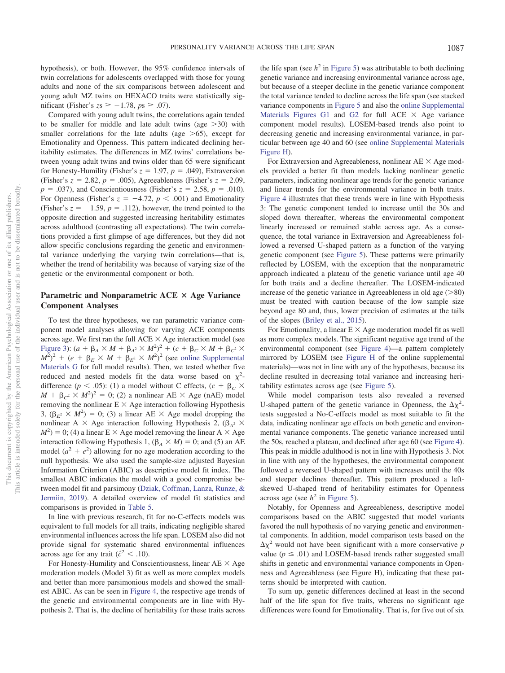hypothesis), or both. However, the 95% confidence intervals of twin correlations for adolescents overlapped with those for young adults and none of the six comparisons between adolescent and young adult MZ twins on HEXACO traits were statistically significant (Fisher's  $zs \ge -1.78$ ,  $ps \ge .07$ ).

Compared with young adult twins, the correlations again tended to be smaller for middle and late adult twins (age  $>30$ ) with smaller correlations for the late adults (age  $>65$ ), except for Emotionality and Openness. This pattern indicated declining heritability estimates. The differences in MZ twins' correlations between young adult twins and twins older than 65 were significant for Honesty-Humility (Fisher's  $z = 1.97$ ,  $p = .049$ ), Extraversion (Fisher's  $z = 2.82$ ,  $p = .005$ ), Agreeableness (Fisher's  $z = 2.09$ ,  $p = .037$ , and Conscientiousness (Fisher's  $z = 2.58$ ,  $p = .010$ ). For Openness (Fisher's  $z = -4.72$ ,  $p < .001$ ) and Emotionality (Fisher's  $z = -1.59$ ,  $p = .112$ ), however, the trend pointed to the opposite direction and suggested increasing heritability estimates across adulthood (contrasting all expectations). The twin correlations provided a first glimpse of age differences, but they did not allow specific conclusions regarding the genetic and environmental variance underlying the varying twin correlations—that is, whether the trend of heritability was because of varying size of the genetic or the environmental component or both.

# Parametric and Nonparametric ACE  $\times$  Age Variance **Component Analyses**

To test the three hypotheses, we ran parametric variance component model analyses allowing for varying ACE components across age. We first ran the full  $ACE \times Age$  interaction model (see Figure 3):  $(a + \beta_A \times M + \beta_{A^2} \times M^2)^2 + (c + \beta_C \times M + \beta_{C^2} \times M^2)$  $(M^2)^2$  + (*e* +  $\beta_E \times M$  +  $\beta_{E^2} \times M^2$ )<sup>2</sup> (see online Supplemental Materials G for full model results). Then, we tested whether five reduced and nested models fit the data worse based on  $\chi^2$ difference ( $p < .05$ ): (1) a model without C effects, ( $c + \beta_c \times$  $M + \beta_c^2 \times M^2$ <sup>2</sup> = 0; (2) a nonlinear AE  $\times$  Age (nAE) model removing the nonlinear  $E \times Age$  interaction following Hypothesis 3,  $(\beta_{E^2} \times M^2) = 0$ ; (3) a linear AE  $\times$  Age model dropping the nonlinear A  $\times$  Age interaction following Hypothesis 2, ( $\beta_{A^2}$   $\times$  $M^2$ ) = 0; (4) a linear E  $\times$  Age model removing the linear A  $\times$  Age interaction following Hypothesis 1,  $(\beta_A \times M) = 0$ ; and (5) an AE model  $(a^2 + e^2)$  allowing for no age moderation according to the null hypothesis. We also used the sample-size adjusted Bayesian Information Criterion (ABIC) as descriptive model fit index. The smallest ABIC indicates the model with a good compromise between model fit and parsimony (Dziak, Coffman, Lanza, Runze, & Jermiin, 2019). A detailed overview of model fit statistics and comparisons is provided in Table 5.

In line with previous research, fit for no-C-effects models was equivalent to full models for all traits, indicating negligible shared environmental influences across the life span. LOSEM also did not provide signal for systematic shared environmental influences across age for any trait ( $\hat{c}^2 < .10$ ).

For Honesty-Humility and Conscientiousness, linear  $AE \times Age$ moderation models (Model 3) fit as well as more complex models and better than more parsimonious models and showed the smallest ABIC. As can be seen in Figure 4, the respective age trends of the genetic and environmental components are in line with Hypothesis 2. That is, the decline of heritability for these traits across

the life span (see  $h^2$  in Figure 5) was attributable to both declining genetic variance and increasing environmental variance across age, but because of a steeper decline in the genetic variance component the total variance tended to decline across the life span (see stacked variance components in Figure 5 and also the online Supplemental Materials Figures G1 and G2 for full ACE  $\times$  Age variance component model results). LOSEM-based trends also point to decreasing genetic and increasing environmental variance, in particular between age 40 and 60 (see online Supplemental Materials Figure H).

For Extraversion and Agreeableness, nonlinear  $AE \times Age$  models provided a better fit than models lacking nonlinear genetic parameters, indicating nonlinear age trends for the genetic variance and linear trends for the environmental variance in both traits. Figure 4 illustrates that these trends were in line with Hypothesis 3: The genetic component tended to increase until the 30s and sloped down thereafter, whereas the environmental component linearly increased or remained stable across age. As a consequence, the total variance in Extraversion and Agreeableness followed a reversed U-shaped pattern as a function of the varying genetic component (see Figure 5). These patterns were primarily reflected by LOSEM, with the exception that the nonparametric approach indicated a plateau of the genetic variance until age 40 for both traits and a decline thereafter. The LOSEM-indicated increase of the genetic variance in Agreeableness in old age  $(>=80)$ must be treated with caution because of the low sample size beyond age 80 and, thus, lower precision of estimates at the tails of the slopes (Briley et al., 2015).

For Emotionality, a linear  $E \times Age$  moderation model fit as well as more complex models. The significant negative age trend of the environmental component (see Figure 4)—a pattern completely mirrored by LOSEM (see Figure H of the online supplemental materials)—was not in line with any of the hypotheses, because its decline resulted in decreasing total variance and increasing heritability estimates across age (see Figure 5).

While model comparison tests also revealed a reversed U-shaped pattern of the genetic variance in Openness, the  $\Delta \chi^2$ tests suggested a No-C-effects model as most suitable to fit the data, indicating nonlinear age effects on both genetic and environmental variance components. The genetic variance increased until the 50s, reached a plateau, and declined after age 60 (see Figure 4). This peak in middle adulthood is not in line with Hypothesis 3. Not in line with any of the hypotheses, the environmental component followed a reversed U-shaped pattern with increases until the 40s and steeper declines thereafter. This pattern produced a leftskewed U-shaped trend of heritability estimates for Openness across age (see  $h^2$  in Figure 5).

Notably, for Openness and Agreeableness, descriptive model comparisons based on the ABIC suggested that model variants favored the null hypothesis of no varying genetic and environmental components. In addition, model comparison tests based on the  $\Delta \chi^2$  would not have been significant with a more conservative *p* value ( $p \leq .01$ ) and LOSEM-based trends rather suggested small shifts in genetic and environmental variance components in Openness and Agreeableness (see Figure H), indicating that these patterns should be interpreted with caution.

To sum up, genetic differences declined at least in the second half of the life span for five traits, whereas no significant age differences were found for Emotionality. That is, for five out of six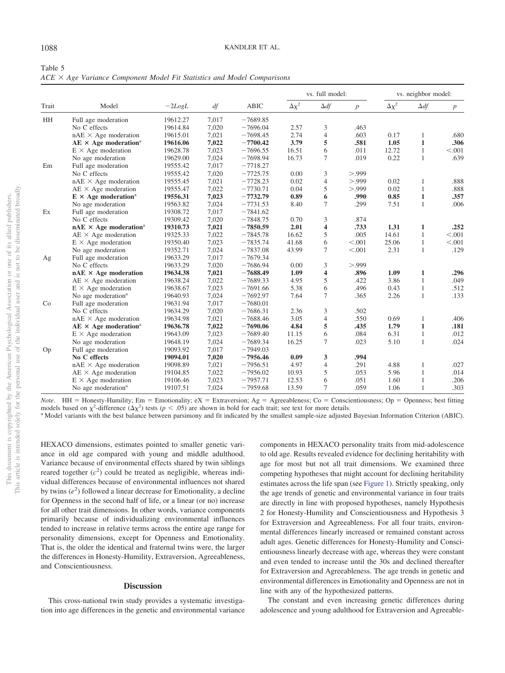| Table 5                                                                        |  |  |  |  |  |
|--------------------------------------------------------------------------------|--|--|--|--|--|
| $ACE \times Age$ Variance Component Model Fit Statistics and Model Comparisons |  |  |  |  |  |

|       |                                          |          |       |             |                | vs. full model: |                  |                | vs. neighbor model: |                  |  |
|-------|------------------------------------------|----------|-------|-------------|----------------|-----------------|------------------|----------------|---------------------|------------------|--|
| Trait | Model                                    | $-2LogL$ | df    | <b>ABIC</b> | $\Delta\chi^2$ | $\Delta df$     | $\boldsymbol{p}$ | $\Delta\chi^2$ | $\Delta df$         | $\boldsymbol{p}$ |  |
| HH    | Full age moderation                      | 19612.27 | 7,017 | $-7689.85$  |                |                 |                  |                |                     |                  |  |
|       | No C effects                             | 19614.84 | 7,020 | $-7696.04$  | 2.57           | 3               | .463             |                |                     |                  |  |
|       | $nAE \times Age$ moderation              | 19615.01 | 7,021 | $-7698.45$  | 2.74           | $\overline{4}$  | .603             | 0.17           | 1                   | .680             |  |
|       | $AE \times Age$ moderation <sup>a</sup>  | 19616.06 | 7,022 | $-7700.42$  | 3.79           | 5               | .581             | 1.05           | $\mathbf{1}$        | .306             |  |
|       | $E \times Age$ moderation                | 19628.78 | 7,023 | $-7696.55$  | 16.51          | 6               | .011             | 12.72          | $\mathbf{1}$        | < .001           |  |
|       | No age moderation                        | 19629.00 | 7,024 | $-7698.94$  | 16.73          | 7               | .019             | 0.22           | $\mathbf{1}$        | .639             |  |
| Em    | Full age moderation                      | 19555.42 | 7,017 | $-7718.27$  |                |                 |                  |                |                     |                  |  |
|       | No C effects                             | 19555.42 | 7,020 | $-7725.75$  | 0.00           | 3               | > 0.999          |                |                     |                  |  |
|       | $nAE \times Age$ moderation              | 19555.45 | 7,021 | $-7728.23$  | 0.02           | 4               | > 0.999          | 0.02           | 1                   | .888             |  |
|       | $AE \times Age$ moderation               | 19555.47 | 7,022 | $-7730.71$  | 0.04           | 5               | > 999            | 0.02           | 1                   | .888             |  |
|       | $E \times Age$ moderation <sup>a</sup>   | 19556.31 | 7,023 | $-7732.79$  | 0.89           | 6               | .990             | 0.85           | $\mathbf{1}$        | .357             |  |
|       | No age moderation                        | 19563.82 | 7,024 | $-7731.53$  | 8.40           | 7               | .299             | 7.51           | 1                   | .006             |  |
| Ex    | Full age moderation                      | 19308.72 | 7,017 | $-7841.62$  |                |                 |                  |                |                     |                  |  |
|       | No C effects                             | 19309.42 | 7,020 | $-7848.75$  | 0.70           | 3               | .874             |                |                     |                  |  |
|       | $nAE \times Age$ moderation <sup>a</sup> | 19310.73 | 7,021 | $-7850.59$  | 2.01           | 4               | .733             | 1.31           | 1                   | .252             |  |
|       | $AE \times Age$ moderation               | 19325.33 | 7,022 | $-7845.78$  | 16.62          | 5               | .005             | 14.61          | 1                   | < 0.001          |  |
|       | $E \times Age$ moderation                | 19350.40 | 7,023 | $-7835.74$  | 41.68          | 6               | < 0.001          | 25.06          | $\mathbf{1}$        | < 0.001          |  |
|       | No age moderation                        | 19352.71 | 7,024 | $-7837.08$  | 43.99          | 7               | < 0.001          | 2.31           | 1                   | .129             |  |
| Ag    | Full age moderation                      | 19633.29 | 7,017 | $-7679.34$  |                |                 |                  |                |                     |                  |  |
|       | No C effects                             | 19633.29 | 7,020 | $-7686.94$  | 0.00           | 3               | > 0.999          |                |                     |                  |  |
|       | $nAE \times Age$ moderation              | 19634.38 | 7,021 | $-7688.49$  | 1.09           | 4               | .896             | 1.09           | 1                   | .296             |  |
|       | $AE \times Age$ moderation               | 19638.24 | 7,022 | $-7689.33$  | 4.95           | 5               | .422             | 3.86           | $\mathbf{1}$        | .049             |  |
|       | $E \times Age$ moderation                | 19638.67 | 7,023 | $-7691.66$  | 5.38           | 6               | .496             | 0.43           | $\mathbf{1}$        | .512             |  |
|       | No age moderation <sup>a</sup>           | 19640.93 | 7,024 | $-7692.97$  | 7.64           | 7               | .365             | 2.26           | 1                   | .133             |  |
| Co    | Full age moderation                      | 19631.94 | 7,017 | $-7680.01$  |                |                 |                  |                |                     |                  |  |
|       | No C effects                             | 19634.29 | 7,020 | $-7686.31$  | 2.36           | 3               | .502             |                |                     |                  |  |
|       | $nAE \times Age$ moderation              | 19634.98 | 7,021 | $-7688.46$  | 3.05           | 4               | .550             | 0.69           | $\mathbf{1}$        | .406             |  |
|       | $AE \times Age$ moderation <sup>a</sup>  | 19636.78 | 7,022 | $-7690.06$  | 4.84           | 5               | .435             | 1.79           | $\mathbf{1}$        | .181             |  |
|       | $E \times Age$ moderation                | 19643.09 | 7,023 | $-7689.40$  | 11.15          | 6               | .084             | 6.31           | $\mathbf{1}$        | .012             |  |
|       | No age moderation                        | 19648.19 | 7,024 | $-7689.34$  | 16.25          | 7               | .023             | 5.10           | $\mathbf{1}$        | .024             |  |
| Op    | Full age moderation                      | 19093.92 | 7,017 | $-7949.03$  |                |                 |                  |                |                     |                  |  |
|       | No C effects                             | 19094.01 | 7,020 | $-7956.46$  | 0.09           | 3               | .994             |                |                     |                  |  |
|       | $nAE \times Age$ moderation              | 19098.89 | 7,021 | $-7956.51$  | 4.97           | 4               | .291             | 4.88           | 1                   | .027             |  |
|       | $AE \times Age$ moderation               | 19104.85 | 7,022 | $-7956.02$  | 10.93          | 5               | .053             | 5.96           | 1                   | .014             |  |
|       | $E \times Age$ moderation                | 19106.46 | 7,023 | $-7957.71$  | 12.53          | 6               | .051             | 1.60           | 1                   | .206             |  |
|       | No age moderation <sup>a</sup>           | 19107.51 | 7,024 | $-7959.68$  | 13.59          | 7               | .059             | 1.06           | 1                   | .303             |  |

*Note*. HH = Honesty-Humility; Em = Emotionality; eX = Extraversion; Ag = Agreeableness; Co = Conscientiousness; Op = Openness; best fitting models based on  $\chi^2$ -difference  $(\Delta \chi^2)$  tests ( $p < .05$ ) are shown in bold for each trait; see text for more details.

<sup>a</sup> Model variants with the best balance between parsimony and fit indicated by the smallest sample-size adjusted Bayesian Information Criterion (ABIC).

HEXACO dimensions, estimates pointed to smaller genetic variance in old age compared with young and middle adulthood. Variance because of environmental effects shared by twin siblings reared together  $(c^2)$  could be treated as negligible, whereas individual differences because of environmental influences not shared by twins  $(e^2)$  followed a linear decrease for Emotionality, a decline for Openness in the second half of life, or a linear (or no) increase for all other trait dimensions. In other words, variance components primarily because of individualizing environmental influences tended to increase in relative terms across the entire age range for personality dimensions, except for Openness and Emotionality. That is, the older the identical and fraternal twins were, the larger the differences in Honesty-Humility, Extraversion, Agreeableness, and Conscientiousness.

#### **Discussion**

This cross-national twin study provides a systematic investigation into age differences in the genetic and environmental variance components in HEXACO personality traits from mid-adolescence to old age. Results revealed evidence for declining heritability with age for most but not all trait dimensions. We examined three competing hypotheses that might account for declining heritability estimates across the life span (see Figure 1). Strictly speaking, only the age trends of genetic and environmental variance in four traits are directly in line with proposed hypotheses, namely Hypothesis 2 for Honesty-Humility and Conscientiousness and Hypothesis 3 for Extraversion and Agreeableness. For all four traits, environmental differences linearly increased or remained constant across adult ages. Genetic differences for Honesty-Humility and Conscientiousness linearly decrease with age, whereas they were constant and even tended to increase until the 30s and declined thereafter for Extraversion and Agreeableness. The age trends in genetic and environmental differences in Emotionality and Openness are not in line with any of the hypothesized patterns.

The constant and even increasing genetic differences during adolescence and young adulthood for Extraversion and Agreeable-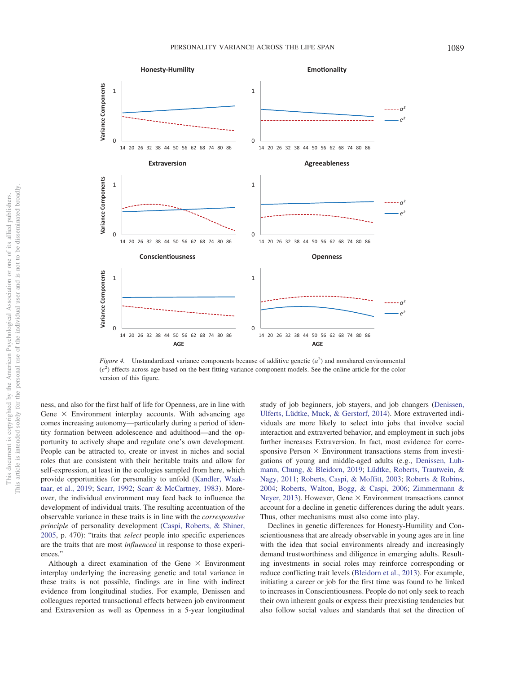

*Figure 4.* Unstandardized variance components because of additive genetic  $(a^2)$  and nonshared environmental (*e* 2 ) effects across age based on the best fitting variance component models. See the online article for the color version of this figure.

ness, and also for the first half of life for Openness, are in line with Gene  $\times$  Environment interplay accounts. With advancing age comes increasing autonomy—particularly during a period of identity formation between adolescence and adulthood—and the opportunity to actively shape and regulate one's own development. People can be attracted to, create or invest in niches and social roles that are consistent with their heritable traits and allow for self-expression, at least in the ecologies sampled from here, which provide opportunities for personality to unfold (Kandler, Waaktaar, et al., 2019; Scarr, 1992; Scarr & McCartney, 1983). Moreover, the individual environment may feed back to influence the development of individual traits. The resulting accentuation of the observable variance in these traits is in line with the *corresponsive principle* of personality development (Caspi, Roberts, & Shiner, 2005, p. 470): "traits that *select* people into specific experiences are the traits that are most *influenced* in response to those experiences."

Although a direct examination of the Gene  $\times$  Environment interplay underlying the increasing genetic and total variance in these traits is not possible, findings are in line with indirect evidence from longitudinal studies. For example, Denissen and colleagues reported transactional effects between job environment and Extraversion as well as Openness in a 5-year longitudinal study of job beginners, job stayers, and job changers (Denissen, Ulferts, Lüdtke, Muck, & Gerstorf, 2014). More extraverted individuals are more likely to select into jobs that involve social interaction and extraverted behavior, and employment in such jobs further increases Extraversion. In fact, most evidence for corresponsive Person  $\times$  Environment transactions stems from investigations of young and middle-aged adults (e.g., Denissen, Luhmann, Chung, & Bleidorn, 2019; Lüdtke, Roberts, Trautwein, & Nagy, 2011; Roberts, Caspi, & Moffitt, 2003; Roberts & Robins, 2004; Roberts, Walton, Bogg, & Caspi, 2006; Zimmermann & Neyer, 2013). However, Gene  $\times$  Environment transactions cannot account for a decline in genetic differences during the adult years. Thus, other mechanisms must also come into play.

Declines in genetic differences for Honesty-Humility and Conscientiousness that are already observable in young ages are in line with the idea that social environments already and increasingly demand trustworthiness and diligence in emerging adults. Resulting investments in social roles may reinforce corresponding or reduce conflicting trait levels (Bleidorn et al., 2013). For example, initiating a career or job for the first time was found to be linked to increases in Conscientiousness. People do not only seek to reach their own inherent goals or express their preexisting tendencies but also follow social values and standards that set the direction of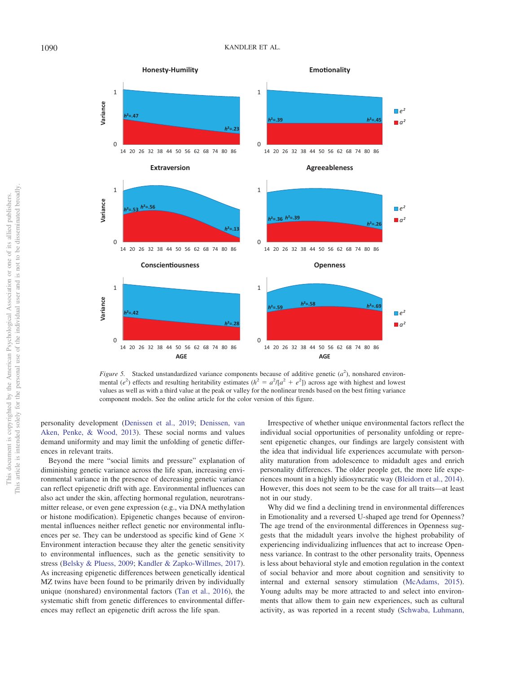

*Figure 5.* Stacked unstandardized variance components because of additive genetic  $(a^2)$ , nonshared environmental ( $e^2$ ) effects and resulting heritability estimates ( $h^2 = a^2/[a^2 + e^2]$ ) across age with highest and lowest values as well as with a third value at the peak or valley for the nonlinear trends based on the best fitting variance component models. See the online article for the color version of this figure.

personality development (Denissen et al., 2019; Denissen, van Aken, Penke, & Wood, 2013). These social norms and values demand uniformity and may limit the unfolding of genetic differences in relevant traits.

Beyond the mere "social limits and pressure" explanation of diminishing genetic variance across the life span, increasing environmental variance in the presence of decreasing genetic variance can reflect epigenetic drift with age. Environmental influences can also act under the skin, affecting hormonal regulation, neurotransmitter release, or even gene expression (e.g., via DNA methylation or histone modification). Epigenetic changes because of environmental influences neither reflect genetic nor environmental influences per se. They can be understood as specific kind of Gene  $\times$ Environment interaction because they alter the genetic sensitivity to environmental influences, such as the genetic sensitivity to stress (Belsky & Pluess, 2009; Kandler & Zapko-Willmes, 2017). As increasing epigenetic differences between genetically identical MZ twins have been found to be primarily driven by individually unique (nonshared) environmental factors (Tan et al., 2016), the systematic shift from genetic differences to environmental differences may reflect an epigenetic drift across the life span.

Irrespective of whether unique environmental factors reflect the individual social opportunities of personality unfolding or represent epigenetic changes, our findings are largely consistent with the idea that individual life experiences accumulate with personality maturation from adolescence to midadult ages and enrich personality differences. The older people get, the more life experiences mount in a highly idiosyncratic way (Bleidorn et al., 2014). However, this does not seem to be the case for all traits—at least not in our study.

Why did we find a declining trend in environmental differences in Emotionality and a reversed U-shaped age trend for Openness? The age trend of the environmental differences in Openness suggests that the midadult years involve the highest probability of experiencing individualizing influences that act to increase Openness variance. In contrast to the other personality traits, Openness is less about behavioral style and emotion regulation in the context of social behavior and more about cognition and sensitivity to internal and external sensory stimulation (McAdams, 2015). Young adults may be more attracted to and select into environments that allow them to gain new experiences, such as cultural activity, as was reported in a recent study (Schwaba, Luhmann,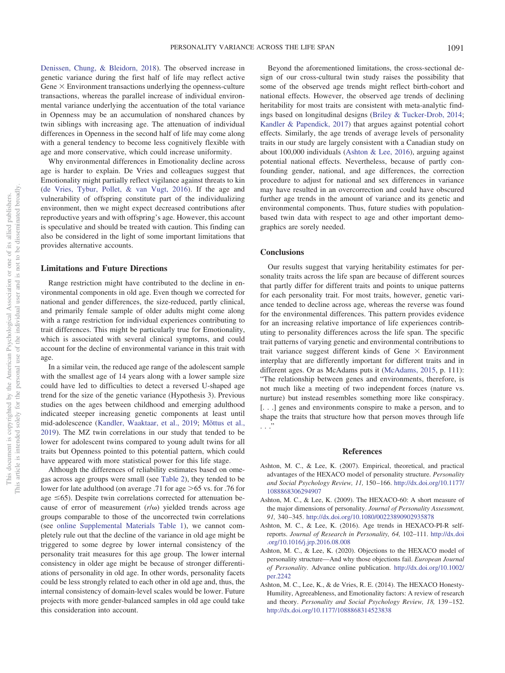Denissen, Chung, & Bleidorn, 2018). The observed increase in genetic variance during the first half of life may reflect active Gene  $\times$  Environment transactions underlying the openness-culture transactions, whereas the parallel increase of individual environmental variance underlying the accentuation of the total variance in Openness may be an accumulation of nonshared chances by twin siblings with increasing age. The attenuation of individual differences in Openness in the second half of life may come along with a general tendency to become less cognitively flexible with age and more conservative, which could increase uniformity.

Why environmental differences in Emotionality decline across age is harder to explain. De Vries and colleagues suggest that Emotionality might partially reflect vigilance against threats to kin (de Vries, Tybur, Pollet, & van Vugt, 2016). If the age and vulnerability of offspring constitute part of the individualizing environment, then we might expect decreased contributions after reproductive years and with offspring's age. However, this account is speculative and should be treated with caution. This finding can also be considered in the light of some important limitations that provides alternative accounts.

#### **Limitations and Future Directions**

Range restriction might have contributed to the decline in environmental components in old age. Even though we corrected for national and gender differences, the size-reduced, partly clinical, and primarily female sample of older adults might come along with a range restriction for individual experiences contributing to trait differences. This might be particularly true for Emotionality, which is associated with several clinical symptoms, and could account for the decline of environmental variance in this trait with age.

In a similar vein, the reduced age range of the adolescent sample with the smallest age of 14 years along with a lower sample size could have led to difficulties to detect a reversed U-shaped age trend for the size of the genetic variance (Hypothesis 3). Previous studies on the ages between childhood and emerging adulthood indicated steeper increasing genetic components at least until mid-adolescence (Kandler, Waaktaar, et al., 2019; Mõttus et al., 2019). The MZ twin correlations in our study that tended to be lower for adolescent twins compared to young adult twins for all traits but Openness pointed to this potential pattern, which could have appeared with more statistical power for this life stage.

Although the differences of reliability estimates based on omegas across age groups were small (see Table 2), they tended to be lower for late adulthood (on average .71 for age  $>65$  vs. for .76 for age  $\leq 65$ ). Despite twin correlations corrected for attenuation because of error of measurement  $(r/\omega)$  yielded trends across age groups comparable to those of the uncorrected twin correlations (see online Supplemental Materials Table 1), we cannot completely rule out that the decline of the variance in old age might be triggered to some degree by lower internal consistency of the personality trait measures for this age group. The lower internal consistency in older age might be because of stronger differentiations of personality in old age. In other words, personality facets could be less strongly related to each other in old age and, thus, the internal consistency of domain-level scales would be lower. Future projects with more gender-balanced samples in old age could take this consideration into account.

Beyond the aforementioned limitations, the cross-sectional design of our cross-cultural twin study raises the possibility that some of the observed age trends might reflect birth-cohort and national effects. However, the observed age trends of declining heritability for most traits are consistent with meta-analytic findings based on longitudinal designs (Briley & Tucker-Drob, 2014; Kandler & Papendick, 2017) that argues against potential cohort effects. Similarly, the age trends of average levels of personality traits in our study are largely consistent with a Canadian study on about 100,000 individuals (Ashton & Lee, 2016), arguing against potential national effects. Nevertheless, because of partly confounding gender, national, and age differences, the correction procedure to adjust for national and sex differences in variance may have resulted in an overcorrection and could have obscured further age trends in the amount of variance and its genetic and environmental components. Thus, future studies with populationbased twin data with respect to age and other important demographics are sorely needed.

## **Conclusions**

Our results suggest that varying heritability estimates for personality traits across the life span are because of different sources that partly differ for different traits and points to unique patterns for each personality trait. For most traits, however, genetic variance tended to decline across age, whereas the reverse was found for the environmental differences. This pattern provides evidence for an increasing relative importance of life experiences contributing to personality differences across the life span. The specific trait patterns of varying genetic and environmental contributions to trait variance suggest different kinds of Gene  $\times$  Environment interplay that are differently important for different traits and in different ages. Or as McAdams puts it (McAdams, 2015, p. 111): "The relationship between genes and environments, therefore, is not much like a meeting of two independent forces (nature vs. nurture) but instead resembles something more like conspiracy. [. . .] genes and environments conspire to make a person, and to shape the traits that structure how that person moves through life . . .<sup>\*</sup>

#### **References**

- Ashton, M. C., & Lee, K. (2007). Empirical, theoretical, and practical advantages of the HEXACO model of personality structure. *Personality and Social Psychology Review, 11,* 150–166. http://dx.doi.org/10.1177/ 1088868306294907
- Ashton, M. C., & Lee, K. (2009). The HEXACO-60: A short measure of the major dimensions of personality. *Journal of Personality Assessment, 91,* 340–345. http://dx.doi.org/10.1080/00223890902935878
- Ashton, M. C., & Lee, K. (2016). Age trends in HEXACO-PI-R selfreports. *Journal of Research in Personality, 64,* 102–111. http://dx.doi .org/10.1016/j.jrp.2016.08.008
- Ashton, M. C., & Lee, K. (2020). Objections to the HEXACO model of personality structure—And why those objections fail. *European Journal of Personality*. Advance online publication. http://dx.doi.org/10.1002/ per.2242
- Ashton, M. C., Lee, K., & de Vries, R. E. (2014). The HEXACO Honesty-Humility, Agreeableness, and Emotionality factors: A review of research and theory. *Personality and Social Psychology Review, 18,* 139–152. http://dx.doi.org/10.1177/1088868314523838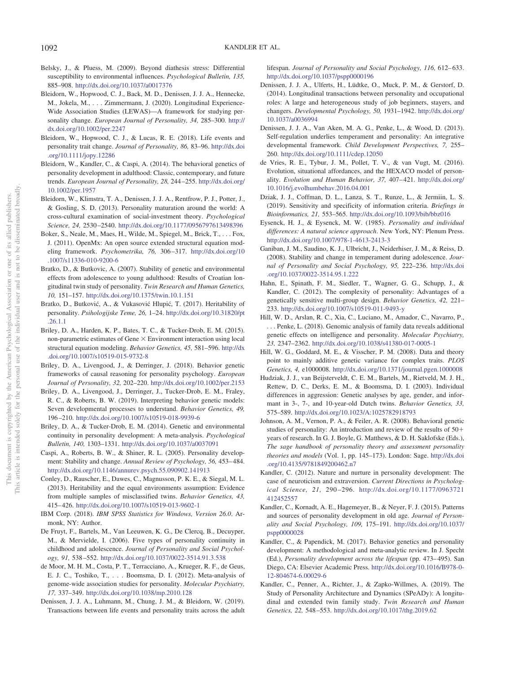- Belsky, J., & Pluess, M. (2009). Beyond diathesis stress: Differential susceptibility to environmental influences. *Psychological Bulletin, 135,* 885–908. http://dx.doi.org/10.1037/a0017376
- Bleidorn, W., Hopwood, C. J., Back, M. D., Denissen, J. J. A., Hennecke, M., Jokela, M.,... Zimmermann, J. (2020). Longitudinal Experience-Wide Association Studies (LEWAS)—A framework for studying personality change. *European Journal of Personality, 34,* 285–300. http:// dx.doi.org/10.1002/per.2247
- Bleidorn, W., Hopwood, C. J., & Lucas, R. E. (2018). Life events and personality trait change. *Journal of Personality, 86,* 83–96. http://dx.doi .org/10.1111/jopy.12286
- Bleidorn, W., Kandler, C., & Caspi, A. (2014). The behavioral genetics of personality development in adulthood: Classic, contemporary, and future trends. *European Journal of Personality, 28,* 244–255. http://dx.doi.org/ 10.1002/per.1957
- Bleidorn, W., Klimstra, T. A., Denissen, J. J. A., Rentfrow, P. J., Potter, J., & Gosling, S. D. (2013). Personality maturation around the world: A cross-cultural examination of social-investment theory. *Psychological Science, 24,* 2530–2540. http://dx.doi.org/10.1177/0956797613498396
- Boker, S., Neale, M., Maes, H., Wilde, M., Spiegel, M., Brick, T.,... Fox, J. (2011). OpenMx: An open source extended structural equation modeling framework. *Psychometrika, 76,* 306–317. http://dx.doi.org/10 .1007/s11336-010-9200-6
- Bratko, D., & Butkovic, A. (2007). Stability of genetic and environmental effects from adolescence to young adulthood: Results of Croatian longitudinal twin study of personality. *Twin Research and Human Genetics, 10,* 151–157. http://dx.doi.org/10.1375/twin.10.1.151
- Bratko, D., Butković, A., & Vukasović Hlupić, T. (2017). Heritability of personality. *Psihologijske Teme, 26,* 1–24. http://dx.doi.org/10.31820/pt .26.1.1
- Briley, D. A., Harden, K. P., Bates, T. C., & Tucker-Drob, E. M. (2015). non-parametric estimates of Gene  $\times$  Environment interaction using local structural equation modeling. *Behavior Genetics, 45,* 581–596. http://dx .doi.org/10.1007/s10519-015-9732-8
- Briley, D. A., Livengood, J., & Derringer, J. (2018). Behavior genetic frameworks of causal reasoning for personality psychology. *European Journal of Personality, 32,* 202–220. http://dx.doi.org/10.1002/per.2153
- Briley, D. A., Livengood, J., Derringer, J., Tucker-Drob, E. M., Fraley, R. C., & Roberts, B. W. (2019). Interpreting behavior genetic models: Seven developmental processes to understand. *Behavior Genetics, 49,* 196–210. http://dx.doi.org/10.1007/s10519-018-9939-6
- Briley, D. A., & Tucker-Drob, E. M. (2014). Genetic and environmental continuity in personality development: A meta-analysis. *Psychological Bulletin, 140,* 1303–1331. http://dx.doi.org/10.1037/a0037091
- Caspi, A., Roberts, B. W., & Shiner, R. L. (2005). Personality development: Stability and change. *Annual Review of Psychology, 56,* 453–484. http://dx.doi.org/10.1146/annurev.psych.55.090902.141913
- Conley, D., Rauscher, E., Dawes, C., Magnusson, P. K. E., & Siegal, M. L. (2013). Heritability and the equal environments assumption: Evidence from multiple samples of misclassified twins. *Behavior Genetics, 43,* 415–426. http://dx.doi.org/10.1007/s10519-013-9602-1
- IBM Corp. (2018). *IBM SPSS Statistics for Windows, Version 26.0*. Armonk, NY: Author.
- De Fruyt, F., Bartels, M., Van Leeuwen, K. G., De Clercq, B., Decuyper, M., & Mervielde, I. (2006). Five types of personality continuity in childhood and adolescence. *Journal of Personality and Social Psychology, 91,* 538–552. http://dx.doi.org/10.1037/0022-3514.91.3.538
- de Moor, M. H. M., Costa, P. T., Terracciano, A., Krueger, R. F., de Geus, E. J. C., Toshiko, T.,... Boomsma, D. I. (2012). Meta-analysis of genome-wide association studies for personality. *Molecular Psychiatry, 17,* 337–349. http://dx.doi.org/10.1038/mp.2010.128
- Denissen, J. J. A., Luhmann, M., Chung, J. M., & Bleidorn, W. (2019). Transactions between life events and personality traits across the adult

lifespan. *Journal of Personality and Social Psychology, 116,* 612–633. http://dx.doi.org/10.1037/pspp0000196

- Denissen, J. J. A., Ulferts, H., Lüdtke, O., Muck, P. M., & Gerstorf, D. (2014). Longitudinal transactions between personality and occupational roles: A large and heterogeneous study of job beginners, stayers, and changers. *Developmental Psychology, 50,* 1931–1942. http://dx.doi.org/ 10.1037/a0036994
- Denissen, J. J. A., Van Aken, M. A. G., Penke, L., & Wood, D. (2013). Self-regulation underlies temperament and personality: An integrative developmental framework. *Child Development Perspectives, 7,* 255– 260. http://dx.doi.org/10.1111/cdep.12050
- de Vries, R. E., Tybur, J. M., Pollet, T. V., & van Vugt, M. (2016). Evolution, situational affordances, and the HEXACO model of personality. *Evolution and Human Behavior, 37,* 407–421. http://dx.doi.org/ 10.1016/j.evolhumbehav.2016.04.001
- Dziak, J. J., Coffman, D. L., Lanza, S. T., Runze, L., & Jermiin, L. S. (2019). Sensitivity and specificity of information criteria. *Briefings in Bioinformatics, 21,* 553–565. http://dx.doi.org/10.1093/bib/bbz016
- Eysenck, H. J., & Eysenck, M. W. (1985). *Personality and individual differences: A natural science approach*. New York, NY: Plenum Press. http://dx.doi.org/10.1007/978-1-4613-2413-3
- Ganiban, J. M., Saudino, K. J., Ulbricht, J., Neiderhiser, J. M., & Reiss, D. (2008). Stability and change in temperament during adolescence. *Journal of Personality and Social Psychology, 95,* 222–236. http://dx.doi .org/10.1037/0022-3514.95.1.222
- Hahn, E., Spinath, F. M., Siedler, T., Wagner, G. G., Schupp, J., & Kandler, C. (2012). The complexity of personality: Advantages of a genetically sensitive multi-group design. *Behavior Genetics, 42,* 221– 233. http://dx.doi.org/10.1007/s10519-011-9493-y
- Hill, W. D., Arslan, R. C., Xia, C., Luciano, M., Amador, C., Navarro, P., . . . Penke, L. (2018). Genomic analysis of family data reveals additional genetic effects on intelligence and personality. *Molecular Psychiatry, 23,* 2347–2362. http://dx.doi.org/10.1038/s41380-017-0005-1
- Hill, W. G., Goddard, M. E., & Visscher, P. M. (2008). Data and theory point to mainly additive genetic variance for complex traits. *PLOS Genetics, 4,* e1000008. http://dx.doi.org/10.1371/journal.pgen.1000008
- Hudziak, J. J., van Beijsterveldt, C. E. M., Bartels, M., Rietveld, M. J. H., Rettew, D. C., Derks, E. M., & Boomsma, D. I. (2003). Individual differences in aggression: Genetic analyses by age, gender, and informant in 3-, 7-, and 10-year-old Dutch twins. *Behavior Genetics, 33,* 575–589. http://dx.doi.org/10.1023/A:1025782918793
- Johnson, A. M., Vernon, P. A., & Feiler, A. R. (2008). Behavioral genetic studies of personality: An introduction and review of the results of 50 years of research. In G. J. Boyle, G. Matthews, & D. H. Saklofske (Eds.), *The sage handbook of personality theory and assessment personality theories and models* (Vol. 1, pp. 145–173). London: Sage. http://dx.doi .org/10.4135/9781849200462.n7
- Kandler, C. (2012). Nature and nurture in personality development: The case of neuroticism and extraversion. *Current Directions in Psychological Science, 21,* 290–296. http://dx.doi.org/10.1177/0963721 412452557
- Kandler, C., Kornadt, A. E., Hagemeyer, B., & Neyer, F. J. (2015). Patterns and sources of personality development in old age. *Journal of Personality and Social Psychology, 109,* 175–191. http://dx.doi.org/10.1037/ pspp0000028
- Kandler, C., & Papendick, M. (2017). Behavior genetics and personality development: A methodological and meta-analytic review. In J. Specht (Ed.), *Personality development across the lifespan* (pp. 473–495). San Diego, CA: Elsevier Academic Press. http://dx.doi.org/10.1016/B978-0- 12-804674-6.00029-6
- Kandler, C., Penner, A., Richter, J., & Zapko-Willmes, A. (2019). The Study of Personality Architecture and Dynamics (SPeADy): A longitudinal and extended twin family study. *Twin Research and Human Genetics, 22,* 548–553. http://dx.doi.org/10.1017/thg.2019.62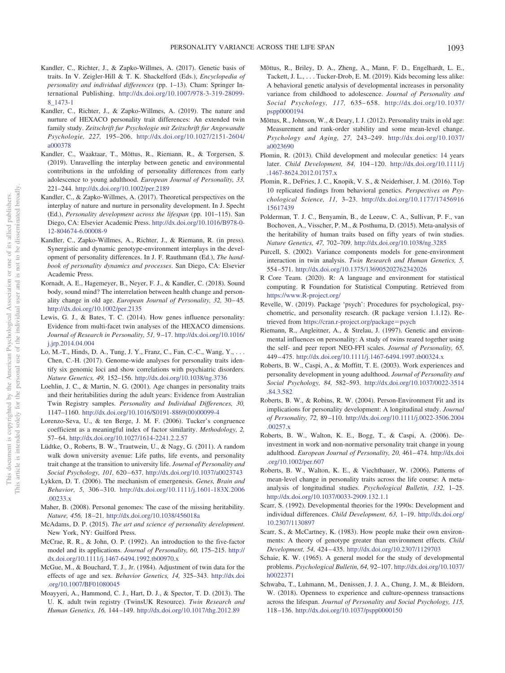- Kandler, C., Richter, J., & Zapko-Willmes, A. (2017). Genetic basis of traits. In V. Zeigler-Hill & T. K. Shackelford (Eds.), *Encyclopedia of personality and individual differences* (pp. 1–13). Cham: Springer International Publishing. http://dx.doi.org/10.1007/978-3-319-28099- 8\_1473-1
- Kandler, C., Richter, J., & Zapko-Willmes, A. (2019). The nature and nurture of HEXACO personality trait differences: An extended twin family study. *Zeitschrift fur Psychologie mit Zeitschrift fur Angewandte Psychologie, 227,* 195–206. http://dx.doi.org/10.1027/2151-2604/ a000378
- Kandler, C., Waaktaar, T., Mõttus, R., Riemann, R., & Torgersen, S. (2019). Unravelling the interplay between genetic and environmental contributions in the unfolding of personality differences from early adolescence to young adulthood. *European Journal of Personality, 33,* 221–244. http://dx.doi.org/10.1002/per.2189
- Kandler, C., & Zapko-Willmes, A. (2017). Theoretical perspectives on the interplay of nature and nurture in personality development. In J. Specht (Ed.), *Personality development across the lifespan* (pp. 101–115). San Diego, CA: Elsevier Academic Press. http://dx.doi.org/10.1016/B978-0- 12-804674-6.00008-9
- Kandler, C., Zapko-Willmes, A., Richter, J., & Riemann, R. (in press). Synergistic and dynamic genotype-environment interplays in the development of personality differences. In J. F. Rauthmann (Ed.), *The handbook of personality dynamics and processes*. San Diego, CA: Elsevier Academic Press.
- Kornadt, A. E., Hagemeyer, B., Neyer, F. J., & Kandler, C. (2018). Sound body, sound mind? The interrelation between health change and personality change in old age. *European Journal of Personality, 32,* 30–45. http://dx.doi.org/10.1002/per.2135
- Lewis, G. J., & Bates, T. C. (2014). How genes influence personality: Evidence from multi-facet twin analyses of the HEXACO dimensions. *Journal of Research in Personality, 51,* 9–17. http://dx.doi.org/10.1016/ j.jrp.2014.04.004
- Lo, M.-T., Hinds, D. A., Tung, J. Y., Franz, C., Fan, C.-C., Wang, Y.,... Chen, C.-H. (2017). Genome-wide analyses for personality traits identify six genomic loci and show correlations with psychiatric disorders. *Nature Genetics, 49,* 152–156. http://dx.doi.org/10.1038/ng.3736
- Loehlin, J. C., & Martin, N. G. (2001). Age changes in personality traits and their heritabilities during the adult years: Evidence from Australian Twin Registry samples. *Personality and Individual Differences, 30,* 1147–1160. http://dx.doi.org/10.1016/S0191-8869(00)00099-4
- Lorenzo-Seva, U., & ten Berge, J. M. F. (2006). Tucker's congruence coefficient as a meaningful index of factor similarity. *Methodology, 2,* 57–64. http://dx.doi.org/10.1027/1614-2241.2.2.57
- Lüdtke, O., Roberts, B. W., Trautwein, U., & Nagy, G. (2011). A random walk down university avenue: Life paths, life events, and personality trait change at the transition to university life. *Journal of Personality and Social Psychology, 101,* 620–637. http://dx.doi.org/10.1037/a0023743
- Lykken, D. T. (2006). The mechanism of emergenesis. *Genes, Brain and Behavior, 5,* 306–310. http://dx.doi.org/10.1111/j.1601-183X.2006 .00233.x
- Maher, B. (2008). Personal genomes: The case of the missing heritability. *Nature, 456,* 18–21. http://dx.doi.org/10.1038/456018a
- McAdams, D. P. (2015). *The art and science of personality development*. New York, NY: Guilford Press.
- McCrae, R. R., & John, O. P. (1992). An introduction to the five-factor model and its applications. *Journal of Personality, 60,* 175–215. http:// dx.doi.org/10.1111/j.1467-6494.1992.tb00970.x
- McGue, M., & Bouchard, T. J., Jr. (1984). Adjustment of twin data for the effects of age and sex. *Behavior Genetics, 14,* 325–343. http://dx.doi .org/10.1007/BF01080045
- Moayyeri, A., Hammond, C. J., Hart, D. J., & Spector, T. D. (2013). The U. K. adult twin registry (TwinsUK Resource). *Twin Research and Human Genetics, 16,* 144–149. http://dx.doi.org/10.1017/thg.2012.89
- Mõttus, R., Briley, D. A., Zheng, A., Mann, F. D., Engelhardt, L. E., Tackett, J. L.,... Tucker-Drob, E. M. (2019). Kids becoming less alike: A behavioral genetic analysis of developmental increases in personality variance from childhood to adolescence. *Journal of Personality and Social Psychology, 117,* 635–658. http://dx.doi.org/10.1037/ pspp0000194
- Mõttus, R., Johnson, W., & Deary, I. J. (2012). Personality traits in old age: Measurement and rank-order stability and some mean-level change. *Psychology and Aging, 27,* 243–249. http://dx.doi.org/10.1037/ a0023690
- Plomin, R. (2013). Child development and molecular genetics: 14 years later. *Child Development, 84,* 104–120. http://dx.doi.org/10.1111/j .1467-8624.2012.01757.x
- Plomin, R., DeFries, J. C., Knopik, V. S., & Neiderhiser, J. M. (2016). Top 10 replicated findings from behavioral genetics. *Perspectives on Psychological Science, 11,* 3–23. http://dx.doi.org/10.1177/17456916 15617439
- Polderman, T. J. C., Benyamin, B., de Leeuw, C. A., Sullivan, P. F., van Bochoven, A., Visscher, P. M., & Posthuma, D. (2015). Meta-analysis of the heritability of human traits based on fifty years of twin studies. *Nature Genetics, 47,* 702–709. http://dx.doi.org/10.1038/ng.3285
- Purcell, S. (2002). Variance components models for gene-environment interaction in twin analysis. *Twin Research and Human Genetics, 5,* 554–571. http://dx.doi.org/10.1375/136905202762342026
- R Core Team. (2020). R: A language and environment for statistical computing. R Foundation for Statistical Computing. Retrieved from https://www.R-project.org/
- Revelle, W. (2019). Package 'psych': Procedures for psychological, psychometric, and personality research. (R package version 1.1.12). Retrieved from https://cran.r-project.org/package=psych
- Riemann, R., Angleitner, A., & Strelau, J. (1997). Genetic and environmental influences on personality: A study of twins reared together using the self- and peer report NEO-FFI scales. *Journal of Personality, 65,* 449–475. http://dx.doi.org/10.1111/j.1467-6494.1997.tb00324.x
- Roberts, B. W., Caspi, A., & Moffitt, T. E. (2003). Work experiences and personality development in young adulthood. *Journal of Personality and Social Psychology, 84,* 582–593. http://dx.doi.org/10.1037/0022-3514 .84.3.582
- Roberts, B. W., & Robins, R. W. (2004). Person-Environment Fit and its implications for personality development: A longitudinal study. *Journal of Personality, 72,* 89–110. http://dx.doi.org/10.1111/j.0022-3506.2004 .00257.x
- Roberts, B. W., Walton, K. E., Bogg, T., & Caspi, A. (2006). Deinvestment in work and non-normative personality trait change in young adulthood. *European Journal of Personality, 20,* 461–474. http://dx.doi .org/10.1002/per.607
- Roberts, B. W., Walton, K. E., & Viechtbauer, W. (2006). Patterns of mean-level change in personality traits across the life course: A metaanalysis of longitudinal studies. *Psychological Bulletin, 132,* 1–25. http://dx.doi.org/10.1037/0033-2909.132.1.1
- Scarr, S. (1992). Developmental theories for the 1990s: Development and individual differences. *Child Development, 63,* 1–19. http://dx.doi.org/ 10.2307/1130897
- Scarr, S., & McCartney, K. (1983). How people make their own environments: A theory of genotype greater than environment effects. *Child Development, 54,* 424–435. http://dx.doi.org/10.2307/1129703
- Schaie, K. W. (1965). A general model for the study of developmental problems. *Psychological Bulletin, 64,* 92–107. http://dx.doi.org/10.1037/ h0022371
- Schwaba, T., Luhmann, M., Denissen, J. J. A., Chung, J. M., & Bleidorn, W. (2018). Openness to experience and culture-openness transactions across the lifespan. *Journal of Personality and Social Psychology, 115,* 118–136. http://dx.doi.org/10.1037/pspp0000150